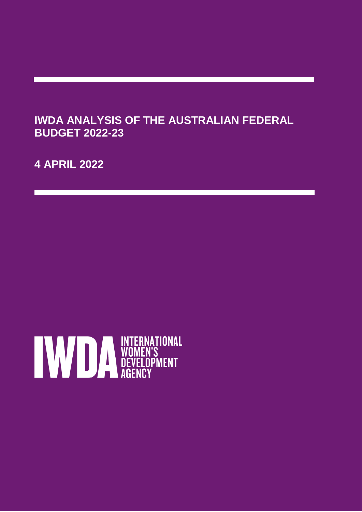# **IWDA ANALYSIS OF THE AUSTRALIAN FEDERAL BUDGET 2022-23**

**4 APRIL 2022**

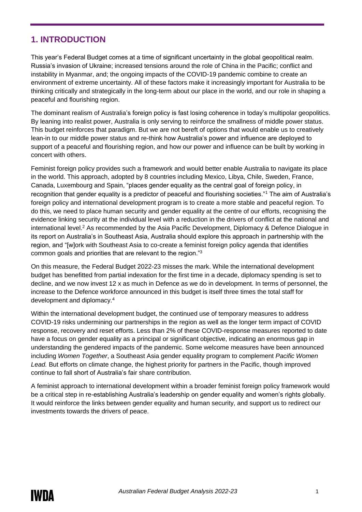# **1. INTRODUCTION**

This year's Federal Budget comes at a time of significant uncertainty in the global geopolitical realm. Russia's invasion of Ukraine; increased tensions around the role of China in the Pacific; conflict and instability in Myanmar, and; the ongoing impacts of the COVID-19 pandemic combine to create an environment of extreme uncertainty. All of these factors make it increasingly important for Australia to be thinking critically and strategically in the long-term about our place in the world, and our role in shaping a peaceful and flourishing region.

The dominant realism of Australia's foreign policy is fast losing coherence in today's multipolar geopolitics. By leaning into realist power, Australia is only serving to reinforce the smallness of middle power status. This budget reinforces that paradigm. But we are not bereft of options that would enable us to creatively lean-in to our middle power status and re-think how Australia's power and influence are deployed to support of a peaceful and flourishing region, and how our power and influence can be built by working in concert with others.

Feminist foreign policy provides such a framework and would better enable Australia to navigate its place in the world. This approach, adopted by 8 countries including Mexico, Libya, Chile, Sweden, France, Canada, Luxembourg and Spain, "places gender equality as the central goal of foreign policy, in recognition that gender equality is a predictor of peaceful and flourishing societies."<sup>1</sup> The aim of Australia's foreign policy and international development program is to create a more stable and peaceful region. To do this, we need to place human security and gender equality at the centre of our efforts, recognising the evidence linking security at the individual level with a reduction in the drivers of conflict at the national and international level.<sup>2</sup> As recommended by the Asia Pacific Development, Diplomacy & Defence Dialogue in its report on Australia's in Southeast Asia, Australia should explore this approach in partnership with the region, and "[w]ork with Southeast Asia to co-create a feminist foreign policy agenda that identifies common goals and priorities that are relevant to the region."<sup>3</sup>

On this measure, the Federal Budget 2022-23 misses the mark. While the international development budget has benefitted from partial indexation for the first time in a decade, diplomacy spending is set to decline, and we now invest 12 x as much in Defence as we do in development. In terms of personnel, the increase to the Defence workforce announced in this budget is itself three times the total staff for development and diplomacy. 4

Within the international development budget, the continued use of temporary measures to address COVID-19 risks undermining our partnerships in the region as well as the longer term impact of COVID response, recovery and reset efforts. Less than 2% of these COVID-response measures reported to date have a focus on gender equality as a principal or significant objective, indicating an enormous gap in understanding the gendered impacts of the pandemic. Some welcome measures have been announced including *Women Together*, a Southeast Asia gender equality program to complement *Pacific Women Lead.* But efforts on climate change, the highest priority for partners in the Pacific, though improved continue to fall short of Australia's fair share contribution.

A feminist approach to international development within a broader feminist foreign policy framework would be a critical step in re-establishing Australia's leadership on gender equality and women's rights globally. It would reinforce the links between gender equality and human security, and support us to redirect our investments towards the drivers of peace.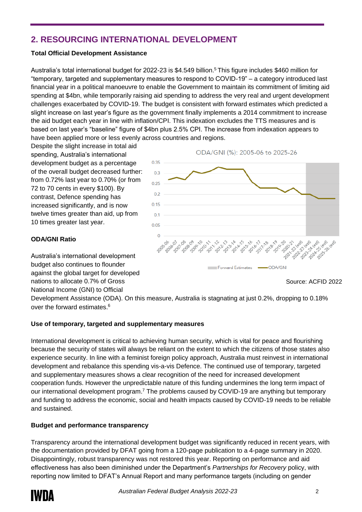# **2. RESOURCING INTERNATIONAL DEVELOPMENT**

## **Total Official Development Assistance**

Australia's total international budget for 2022-23 is \$4.549 billion.<sup>5</sup> This figure includes \$460 million for "temporary, targeted and supplementary measures to respond to COVID-19" – a category introduced last financial year in a political manoeuvre to enable the Government to maintain its commitment of limiting aid spending at \$4bn, while temporarily raising aid spending to address the very real and urgent development challenges exacerbated by COVID-19. The budget is consistent with forward estimates which predicted a slight increase on last year's figure as the government finally implements a 2014 commitment to increase the aid budget each year in line with inflation/CPI. This indexation excludes the TTS measures and is based on last year's "baseline" figure of \$4bn plus 2.5% CPI. The increase from indexation appears to have been applied more or less evenly across countries and regions.

Despite the slight increase in total aid spending, Australia's international development budget as a percentage of the overall budget decreased further: from 0.72% last year to 0.70% (or from 72 to 70 cents in every \$100). By contrast, Defence spending has increased significantly, and is now twelve times greater than aid, up from 10 times greater last year.

Australia's international development budget also continues to flounder against the global target for developed nations to allocate 0.7% of Gross National Income (GNI) to Official

**ODA/GNI Ratio**

#### ODA/GNI (%): 2005-06 to 2025-26



Source: ACFID 2022

Development Assistance (ODA). On this measure, Australia is stagnating at just 0.2%, dropping to 0.18% over the forward estimates.<sup>6</sup>

## **Use of temporary, targeted and supplementary measures**

International development is critical to achieving human security, which is vital for peace and flourishing because the security of states will always be reliant on the extent to which the citizens of those states also experience security. In line with a feminist foreign policy approach, Australia must reinvest in international development and rebalance this spending vis-a-vis Defence. The continued use of temporary, targeted and supplementary measures shows a clear recognition of the need for increased development cooperation funds. However the unpredictable nature of this funding undermines the long term impact of our international development program.<sup>7</sup> The problems caused by COVID-19 are anything but temporary and funding to address the economic, social and health impacts caused by COVID-19 needs to be reliable and sustained.

## **Budget and performance transparency**

Transparency around the international development budget was significantly reduced in recent years, with the documentation provided by DFAT going from a 120-page publication to a 4-page summary in 2020. Disappointingly, robust transparency was not restored this year. Reporting on performance and aid effectiveness has also been diminished under the Department's *Partnerships for Recovery* policy, with reporting now limited to DFAT's Annual Report and many performance targets (including on gender

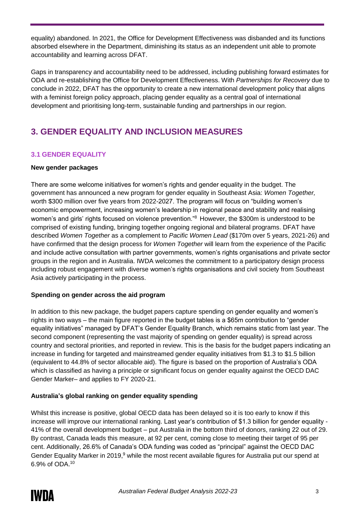equality) abandoned. In 2021, the Office for Development Effectiveness was disbanded and its functions absorbed elsewhere in the Department, diminishing its status as an independent unit able to promote accountability and learning across DFAT.

Gaps in transparency and accountability need to be addressed, including publishing forward estimates for ODA and re-establishing the Office for Development Effectiveness. With *Partnerships for Recovery* due to conclude in 2022, DFAT has the opportunity to create a new international development policy that aligns with a feminist foreign policy approach, placing gender equality as a central goal of international development and prioritising long-term, sustainable funding and partnerships in our region.

# **3. GENDER EQUALITY AND INCLUSION MEASURES**

# **3.1 GENDER EQUALITY**

#### **New gender packages**

There are some welcome initiatives for women's rights and gender equality in the budget. The government has announced a new program for gender equality in Southeast Asia: *Women Together,* worth \$300 million over five years from 2022-2027. The program will focus on "building women's economic empowerment, increasing women's leadership in regional peace and stability and realising women's and girls' rights focused on violence prevention."<sup>8</sup> However, the \$300m is understood to be comprised of existing funding, bringing together ongoing regional and bilateral programs. DFAT have described *Women Together* as a complement to *Pacific Women Lead* (\$170m over 5 years, 2021-26) and have confirmed that the design process for *Women Together* will learn from the experience of the Pacific and include active consultation with partner governments, women's rights organisations and private sector groups in the region and in Australia. IWDA welcomes the commitment to a participatory design process including robust engagement with diverse women's rights organisations and civil society from Southeast Asia actively participating in the process.

#### **Spending on gender across the aid program**

In addition to this new package, the budget papers capture spending on gender equality and women's rights in two ways – the main figure reported in the budget tables is a \$65m contribution to "gender equality initiatives" managed by DFAT's Gender Equality Branch, which remains static from last year. The second component (representing the vast majority of spending on gender equality) is spread across country and sectoral priorities, and reported in review. This is the basis for the budget papers indicating an increase in funding for targeted and mainstreamed gender equality initiatives from \$1.3 to \$1.5 billion (equivalent to 44.8% of sector allocable aid). The figure is based on the proportion of Australia's ODA which is classified as having a principle or significant focus on gender equality against the OECD DAC Gender Marker– and applies to FY 2020-21.

## **Australia's global ranking on gender equality spending**

Whilst this increase is positive, global OECD data has been delayed so it is too early to know if this increase will improve our international ranking. Last year's contribution of \$1.3 billion for gender equality - 41% of the overall development budget – put Australia in the bottom third of donors, ranking 22 out of 29. By contrast, Canada leads this measure, at 92 per cent, coming close to meeting their target of 95 per cent. Additionally, 26.6% of Canada's ODA funding was coded as "principal" against the OECD DAC Gender Equality Marker in 2019,<sup>9</sup> while the most recent available figures for Australia put our spend at 6.9% of ODA.10

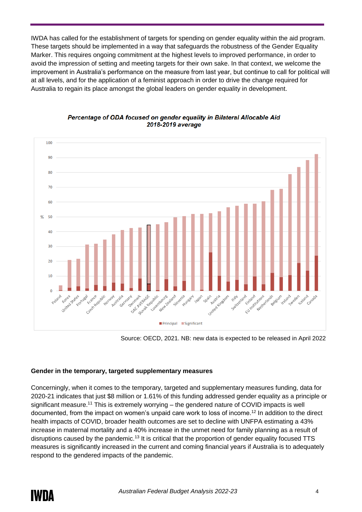IWDA has called for the establishment of targets for spending on gender equality within the aid program. These targets should be implemented in a way that safeguards the robustness of the Gender Equality Marker. This requires ongoing commitment at the highest levels to improved performance, in order to avoid the impression of setting and meeting targets for their own sake. In that context, we welcome the improvement in Australia's performance on the measure from last year, but continue to call for political will at all levels, and for the application of a feminist approach in order to drive the change required for Australia to regain its place amongst the global leaders on gender equality in development.



#### Percentage of ODA focused on gender equality in Bilateral Allocable Aid 2018-2019 average

Source: OECD, 2021. NB: new data is expected to be released in April 2022

## **Gender in the temporary, targeted supplementary measures**

Concerningly, when it comes to the temporary, targeted and supplementary measures funding, data for 2020-21 indicates that just \$8 million or 1.61% of this funding addressed gender equality as a principle or significant measure.<sup>11</sup> This is extremely worrying – the gendered nature of COVID impacts is well documented, from the impact on women's unpaid care work to loss of income.<sup>12</sup> In addition to the direct health impacts of COVID, broader health outcomes are set to decline with UNFPA estimating a 43% increase in maternal mortality and a 40% increase in the unmet need for family planning as a result of disruptions caused by the pandemic.<sup>13</sup> It is critical that the proportion of gender equality focused TTS measures is significantly increased in the current and coming financial years if Australia is to adequately respond to the gendered impacts of the pandemic.

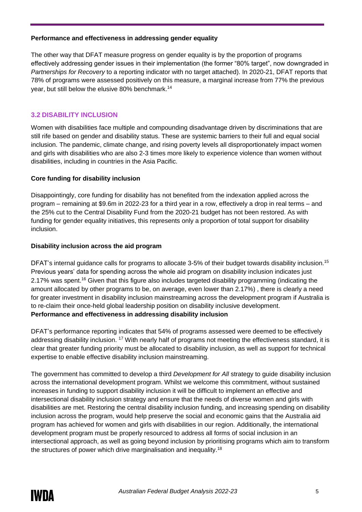#### **Performance and effectiveness in addressing gender equality**

The other way that DFAT measure progress on gender equality is by the proportion of programs effectively addressing gender issues in their implementation (the former "80% target", now downgraded in *Partnerships for Recovery* to a reporting indicator with no target attached). In 2020-21, DFAT reports that 78% of programs were assessed positively on this measure, a marginal increase from 77% the previous year, but still below the elusive 80% benchmark.<sup>14</sup>

## **3.2 DISABILITY INCLUSION**

Women with disabilities face multiple and compounding disadvantage driven by discriminations that are still rife based on gender and disability status. These are systemic barriers to their full and equal social inclusion. The pandemic, climate change, and rising poverty levels all disproportionately impact women and girls with disabilities who are also 2-3 times more likely to experience violence than women without disabilities, including in countries in the Asia Pacific.

#### **Core funding for disability inclusion**

Disappointingly, core funding for disability has not benefited from the indexation applied across the program – remaining at \$9.6m in 2022-23 for a third year in a row, effectively a drop in real terms – and the 25% cut to the Central Disability Fund from the 2020-21 budget has not been restored. As with funding for gender equality initiatives, this represents only a proportion of total support for disability inclusion.

#### **Disability inclusion across the aid program**

DFAT's internal guidance calls for programs to allocate 3-5% of their budget towards disability inclusion.<sup>15</sup> Previous years' data for spending across the whole aid program on disability inclusion indicates just 2.17% was spent.<sup>16</sup> Given that this figure also includes targeted disability programming (indicating the amount allocated by other programs to be, on average, even lower than 2.17%) , there is clearly a need for greater investment in disability inclusion mainstreaming across the development program if Australia is to re-claim their once-held global leadership position on disability inclusive development. **Performance and effectiveness in addressing disability inclusion**

DFAT's performance reporting indicates that 54% of programs assessed were deemed to be effectively addressing disability inclusion. <sup>17</sup> With nearly half of programs not meeting the effectiveness standard, it is clear that greater funding priority must be allocated to disability inclusion, as well as support for technical expertise to enable effective disability inclusion mainstreaming.

The government has committed to develop a third *Development for All* strategy to guide disability inclusion across the international development program. Whilst we welcome this commitment, without sustained increases in funding to support disability inclusion it will be difficult to implement an effective and intersectional disability inclusion strategy and ensure that the needs of diverse women and girls with disabilities are met. Restoring the central disability inclusion funding, and increasing spending on disability inclusion across the program, would help preserve the social and economic gains that the Australia aid program has achieved for women and girls with disabilities in our region. Additionally, the international development program must be properly resourced to address all forms of social inclusion in an intersectional approach, as well as going beyond inclusion by prioritising programs which aim to transform the structures of power which drive marginalisation and inequality.18

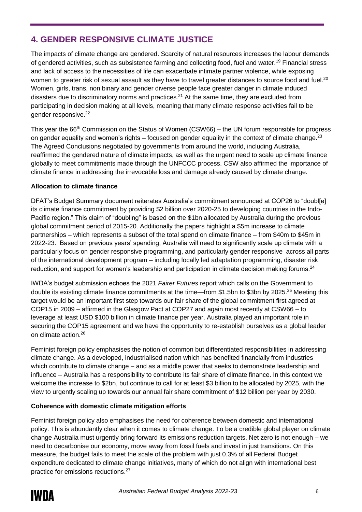# **4. GENDER RESPONSIVE CLIMATE JUSTICE**

The impacts of climate change are gendered. Scarcity of natural resources increases the labour demands of gendered activities, such as subsistence farming and collecting food, fuel and water.<sup>19</sup> Financial stress and lack of access to the necessities of life can exacerbate intimate partner violence, while exposing women to greater risk of sexual assault as they have to travel greater distances to source food and fuel.<sup>20</sup> Women, girls, trans, non binary and gender diverse people face greater danger in climate induced disasters due to discriminatory norms and practices.<sup>21</sup> At the same time, they are excluded from participating in decision making at all levels, meaning that many climate response activities fail to be gender responsive.<sup>22</sup>

This year the 66<sup>th</sup> Commission on the Status of Women (CSW66) – the UN forum responsible for progress on gender equality and women's rights – focused on gender equality in the context of climate change.<sup>23</sup> The Agreed Conclusions negotiated by governments from around the world, including Australia, reaffirmed the gendered nature of climate impacts, as well as the urgent need to scale up climate finance globally to meet commitments made through the UNFCCC process. CSW also affirmed the importance of climate finance in addressing the irrevocable loss and damage already caused by climate change.

#### **Allocation to climate finance**

DFAT's Budget Summary document reiterates Australia's commitment announced at COP26 to "doubl[e] its climate finance commitment by providing \$2 billion over 2020-25 to developing countries in the Indo-Pacific region." This claim of "doubling" is based on the \$1bn allocated by Australia during the previous global commitment period of 2015-20. Additionally the papers highlight a \$5m increase to climate partnerships – which represents a subset of the total spend on climate finance – from \$40m to \$45m in 2022-23. Based on previous years' spending, Australia will need to significantly scale up climate with a particularly focus on gender responsive programming, and particularly gender responsive across all parts of the international development program – including locally led adaptation programming, disaster risk reduction, and support for women's leadership and participation in climate decision making forums.<sup>24</sup>

IWDA's budget submission echoes the 2021 *Fairer Futures* report which calls on the Government to double its existing climate finance commitments at the time—from \$1.5bn to \$3bn by 2025.<sup>25</sup> Meeting this target would be an important first step towards our fair share of the global commitment first agreed at COP15 in 2009 – affirmed in the Glasgow Pact at COP27 and again most recently at CSW66 – to leverage at least USD \$100 billion in climate finance per year. Australia played an important role in securing the COP15 agreement and we have the opportunity to re-establish ourselves as a global leader on climate action.<sup>26</sup>

Feminist foreign policy emphasises the notion of common but differentiated responsibilities in addressing climate change. As a developed, industrialised nation which has benefited financially from industries which contribute to climate change – and as a middle power that seeks to demonstrate leadership and influence – Australia has a responsibility to contribute its fair share of climate finance. In this context we welcome the increase to \$2bn, but continue to call for at least \$3 billion to be allocated by 2025, with the view to urgently scaling up towards our annual fair share commitment of \$12 billion per year by 2030.

## **Coherence with domestic climate mitigation efforts**

Feminist foreign policy also emphasises the need for coherence between domestic and international policy. This is abundantly clear when it comes to climate change. To be a credible global player on climate change Australia must urgently bring forward its emissions reduction targets. Net zero is not enough – we need to decarbonise our economy, move away from fossil fuels and invest in just transitions. On this measure, the budget fails to meet the scale of the problem with just 0.3% of all Federal Budget expenditure dedicated to climate change initiatives, many of which do not align with international best practice for emissions reductions.27

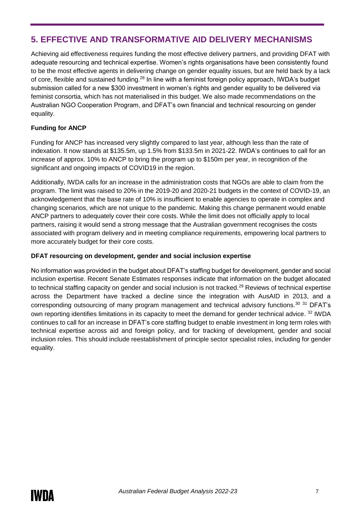# **5. EFFECTIVE AND TRANSFORMATIVE AID DELIVERY MECHANISMS**

Achieving aid effectiveness requires funding the most effective delivery partners, and providing DFAT with adequate resourcing and technical expertise. Women's rights organisations have been consistently found to be the most effective agents in delivering change on gender equality issues, but are held back by a lack of core, flexible and sustained funding.<sup>28</sup> In line with a feminist foreign policy approach, IWDA's budget submission called for a new \$300 investment in women's rights and gender equality to be delivered via feminist consortia, which has not materialised in this budget. We also made recommendations on the Australian NGO Cooperation Program, and DFAT's own financial and technical resourcing on gender equality.

#### **Funding for ANCP**

Funding for ANCP has increased very slightly compared to last year, although less than the rate of indexation. It now stands at \$135.5m, up 1.5% from \$133.5m in 2021-22. IWDA's continues to call for an increase of approx. 10% to ANCP to bring the program up to \$150m per year, in recognition of the significant and ongoing impacts of COVID19 in the region.

Additionally, IWDA calls for an increase in the administration costs that NGOs are able to claim from the program. The limit was raised to 20% in the 2019-20 and 2020-21 budgets in the context of COVID-19, an acknowledgement that the base rate of 10% is insufficient to enable agencies to operate in complex and changing scenarios, which are not unique to the pandemic. Making this change permanent would enable ANCP partners to adequately cover their core costs. While the limit does not officially apply to local partners, raising it would send a strong message that the Australian government recognises the costs associated with program delivery and in meeting compliance requirements, empowering local partners to more accurately budget for their core costs.

#### **DFAT resourcing on development, gender and social inclusion expertise**

No information was provided in the budget about DFAT's staffing budget for development, gender and social inclusion expertise. Recent Senate Estimates responses indicate that information on the budget allocated to technical staffing capacity on gender and social inclusion is not tracked.<sup>29</sup> Reviews of technical expertise across the Department have tracked a decline since the integration with AusAID in 2013, and a corresponding outsourcing of many program management and technical advisory functions.<sup>30</sup> <sup>31</sup> DFAT's own reporting identifies limitations in its capacity to meet the demand for gender technical advice. <sup>32</sup> IWDA continues to call for an increase in DFAT's core staffing budget to enable investment in long term roles with technical expertise across aid and foreign policy, and for tracking of development, gender and social inclusion roles. This should include reestablishment of principle sector specialist roles, including for gender equality.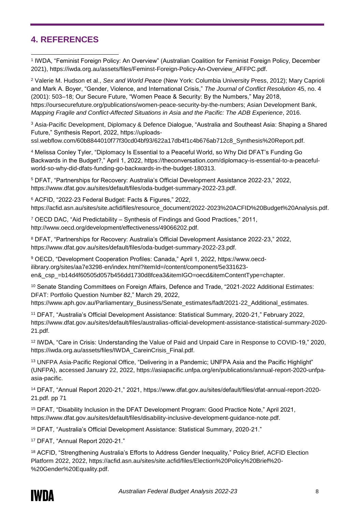# **4. REFERENCES**

1 IWDA, "Feminist Foreign Policy: An Overview" (Australian Coalition for Feminist Foreign Policy, December 2021), https://iwda.org.au/assets/files/Feminst-Foreign-Policy-An-Overview\_AFFPC.pdf. -

<sup>2</sup> Valerie M. Hudson et al., *Sex and World Peace* (New York: Columbia University Press, 2012); Mary Caprioli and Mark A. Boyer, "Gender, Violence, and International Crisis," *The Journal of Conflict Resolution* 45, no. 4 (2001): 503–18; Our Secure Future, "Women Peace & Security: By the Numbers," May 2018, https://oursecurefuture.org/publications/women-peace-security-by-the-numbers; Asian Development Bank, *Mapping Fragile and Conflict-Affected Situations in Asia and the Pacific: The ADB Experience*, 2016.

<sup>3</sup> Asia-Pacific Development, Diplomacy & Defence Dialogue, "Australia and Southeast Asia: Shaping a Shared Future," Synthesis Report, 2022, https://uploads-

ssl.webflow.com/60b8844010f77f30cd04bf93/622a17db4f1c4b676ab712c8\_Synthesis%20Report.pdf.

<sup>4</sup> Melissa Conley Tyler, "Diplomacy Is Essential to a Peaceful World, so Why Did DFAT's Funding Go Backwards in the Budget?," April 1, 2022, https://theconversation.com/diplomacy-is-essential-to-a-peacefulworld-so-why-did-dfats-funding-go-backwards-in-the-budget-180313.

<sup>5</sup> DFAT, "Partnerships for Recovery: Australia's Official Development Assistance 2022-23," 2022, https://www.dfat.gov.au/sites/default/files/oda-budget-summary-2022-23.pdf.

<sup>6</sup> ACFID, "2022-23 Federal Budget: Facts & Figures," 2022, https://acfid.asn.au/sites/site.acfid/files/resource\_document/2022-2023%20ACFID%20Budget%20Analysis.pdf.

<sup>7</sup> OECD DAC, "Aid Predictability – Synthesis of Findings and Good Practices," 2011, http://www.oecd.org/development/effectiveness/49066202.pdf.

<sup>8</sup> DFAT, "Partnerships for Recovery: Australia's Official Development Assistance 2022-23," 2022, https://www.dfat.gov.au/sites/default/files/oda-budget-summary-2022-23.pdf.

<sup>9</sup> OECD, "Development Cooperation Profiles: Canada," April 1, 2022, https://www.oecdilibrary.org/sites/aa7e3298-en/index.html?itemId=/content/component/5e331623 en& csp =b14d4f60505d057b456dd1730d8fcea3&itemIGO=oecd&itemContentType=chapter.

<sup>10</sup> Senate Standing Committees on Foreign Affairs, Defence and Trade, "2021-2022 Additional Estimates: DFAT: Portfolio Question Number 82," March 29, 2022, https://www.aph.gov.au/Parliamentary\_Business/Senate\_estimates/fadt/2021-22\_Additional\_estimates.

<sup>11</sup> DFAT, "Australia's Official Development Assistance: Statistical Summary, 2020-21," February 2022,

https://www.dfat.gov.au/sites/default/files/australias-official-development-assistance-statistical-summary-2020- 21.pdf.

<sup>12</sup> IWDA, "Care in Crisis: Understanding the Value of Paid and Unpaid Care in Response to COVID-19," 2020, https://iwda.org.au/assets/files/IWDA\_CareinCrisis\_Final.pdf.

<sup>13</sup> UNFPA Asia-Pacific Regional Office, "Delivering in a Pandemic; UNFPA Asia and the Pacific Highlight" (UNFPA), accessed January 22, 2022, https://asiapacific.unfpa.org/en/publications/annual-report-2020-unfpaasia-pacific.

<sup>14</sup> DFAT, "Annual Report 2020-21," 2021, https://www.dfat.gov.au/sites/default/files/dfat-annual-report-2020- 21.pdf. pp 71

<sup>15</sup> DFAT, "Disability Inclusion in the DFAT Development Program: Good Practice Note," April 2021, https://www.dfat.gov.au/sites/default/files/disability-inclusive-development-guidance-note.pdf.

<sup>16</sup> DFAT, "Australia's Official Development Assistance: Statistical Summary, 2020-21."

<sup>17</sup> DFAT, "Annual Report 2020-21."

<sup>18</sup> ACFID, "Strengthening Australia's Efforts to Address Gender Inequality," Policy Brief, ACFID Election Platform 2022, 2022, https://acfid.asn.au/sites/site.acfid/files/Election%20Policy%20Brief%20- %20Gender%20Equality.pdf.

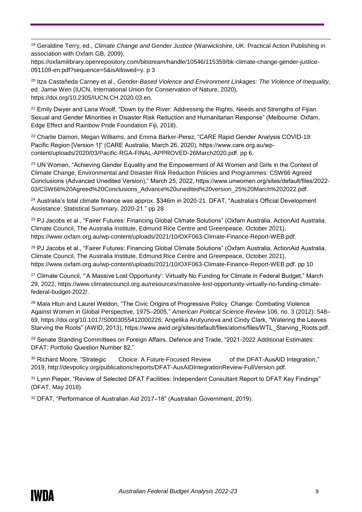-<sup>19</sup> Geraldine Terry, ed., *Climate Change and Gender Justice* (Warwickshire, UK: Practical Action Publishing in association with Oxfam GB, 2009),

https://oxfamilibrary.openrepository.com/bitstream/handle/10546/115359/bk-climate-change-gender-justice-091109-en.pdf?sequence=5&isAllowed=y. p 3

<sup>20</sup> Itza Castañeda Carney et al., *Gender-Based Violence and Environment Linkages: The Violence of Inequality*, ed. Jamie Wen (IUCN, International Union for Conservation of Nature, 2020), https://doi.org/10.2305/IUCN.CH.2020.03.en.

<sup>21</sup> Emily Dwyer and Lana Woolf, "Down by the River: Addressing the Rights, Needs and Strengths of Fijian Sexual and Gender Minorities in Disaster Risk Reduction and Humanitarian Response" (Melbourne: Oxfam, Edge Effect and Rainbow Pride Foundation Fiji, 2018).

<sup>22</sup> Charlie Damon, Megan Williams, and Emma Barker-Perez, "CARE Rapid Gender Analysis COVID-19; Pacific Region [Version 1]" (CARE Australia, March 26, 2020), https://www.care.org.au/wpcontent/uploads/2020/03/Pacific-RGA-FINAL-APPROVED-26March2020.pdf. pp 6.

<sup>23</sup> UN Women, "Achieving Gender Equality and the Empowerment of All Women and Girls in the Context of Climate Change, Environmental and Disaster Risk Reduction Policies and Programmes: CSW66 Agreed Conclusions (Advanced Unedited Version)," March 25, 2022, https://www.unwomen.org/sites/default/files/2022- 03/CSW66%20Agreed%20Conclusions\_Advance%20unedited%20version\_25%20March%202022.pdf.

<sup>24</sup> Australia's total climate finance was approx. \$346m in 2020-21. DFAT, "Australia's Official Development Assistance: Statistical Summary, 2020-21." pp 28

<sup>25</sup> PJ Jacobs et al., "Fairer Futures: Financing Global Climate Solutions" (Oxfam Australia, ActionAid Australia, Climate Council, The Australia Institute, Edmund Rice Centre and Greenpeace, October 2021), https://www.oxfam.org.au/wp-content/uploads/2021/10/OXF063-Climate-Finance-Report-WEB.pdf.

<sup>26</sup> [PJ Jacobs et al., "Fairer Futures: Financing Global Climate Solutions" \(Oxfam Australia, ActionAid Australia,](file://///jpradela/Workplace/133%20RPA/1.%20Policy%20&%20Advocacy/Domestic%20Political%20Engagement/Australian%20Aid%20Budget/Australian%20Federal%20Budget%202022-23/PJ%20Jacobs%20et%20al.,%20)  [Climate Council, The Australia Institute, Edmund Rice Centre and Greenpeace, October 2021\),](file://///jpradela/Workplace/133%20RPA/1.%20Policy%20&%20Advocacy/Domestic%20Political%20Engagement/Australian%20Aid%20Budget/Australian%20Federal%20Budget%202022-23/PJ%20Jacobs%20et%20al.,%20)  [https://www.oxfam.org.au/wp-content/uploads/2021/10/OXF063-Climate-Finance-Report-WEB.pdf.](file://///jpradela/Workplace/133%20RPA/1.%20Policy%20&%20Advocacy/Domestic%20Political%20Engagement/Australian%20Aid%20Budget/Australian%20Federal%20Budget%202022-23/PJ%20Jacobs%20et%20al.,%20) pp 10

<sup>27</sup> Climate Council, "'A Massive Lost Opportunity': Virtually No Funding for Climate in Federal Budget," March 29, 2022, https://www.climatecouncil.org.au/resources/massive-lost-opportunity-virtually-no-funding-climatefederal-budget-2022/.

<sup>28</sup> Mala Htun and Laurel Weldon, "The Civic Origins of Progressive Policy Change: Combating Violence Against Women in Global Perspective, 1975–2005," *American Political Science Review* 106, no. 3 (2012): 548– 69, https://doi.org/10.1017/S0003055412000226; Angelika Arutyunova and Cindy Clark, "Watering the Leaves Starving the Roots" (AWID, 2013), https://www.awid.org/sites/default/files/atoms/files/WTL\_Starving\_Roots.pdf.

<sup>29</sup> Senate Standing Committees on Foreign Affairs, Defence and Trade, "2021-2022 Additional Estimates: DFAT: Portfolio Question Number 82."

<sup>30</sup> Richard Moore, "Strategic Choice: A Future-Focused Review of the DFAT-AusAID Integration," 2019, http://devpolicy.org/publications/reports/DFAT-AusAIDIntegrationReview-FullVersion.pdf.

<sup>31</sup> Lynn Pieper, "Review of Selected DFAT Facilities: Independent Consultant Report to DFAT Key Findings" (DFAT, May 2018).

<sup>32</sup> DFAT, "Performance of Australian Aid 2017–18" (Australian Government, 2019).